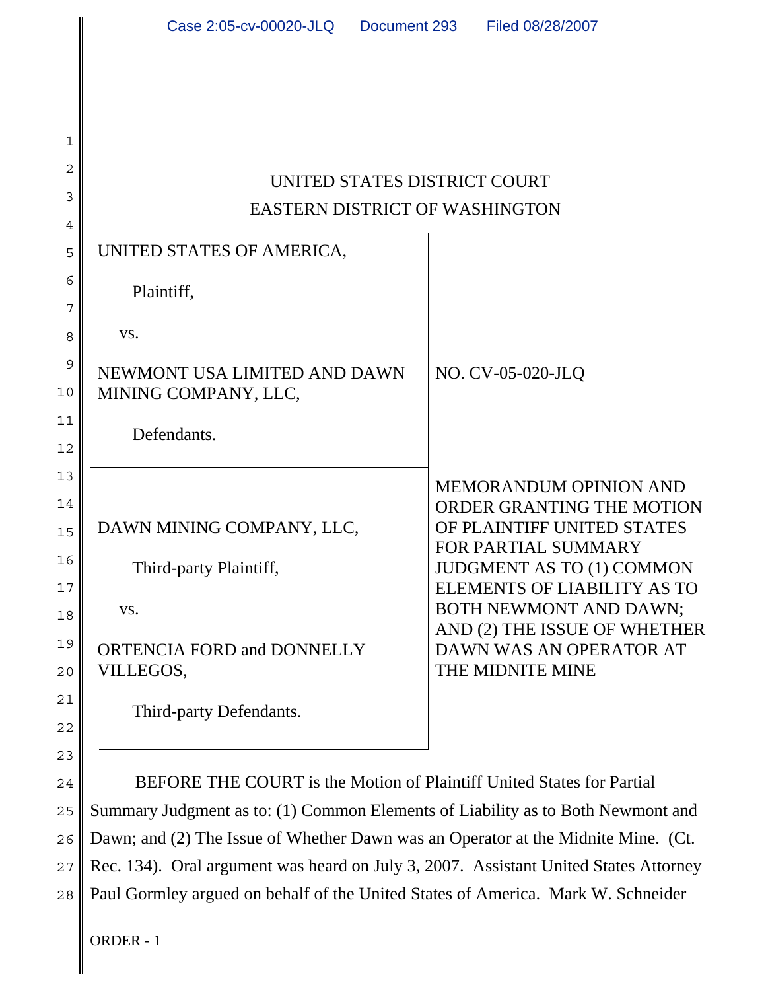| UNITED STATES DISTRICT COURT<br><b>EASTERN DISTRICT OF WASHINGTON</b>                                        |                                                                                                                                                                                                                                                                                             |
|--------------------------------------------------------------------------------------------------------------|---------------------------------------------------------------------------------------------------------------------------------------------------------------------------------------------------------------------------------------------------------------------------------------------|
| UNITED STATES OF AMERICA,                                                                                    |                                                                                                                                                                                                                                                                                             |
| Plaintiff,                                                                                                   |                                                                                                                                                                                                                                                                                             |
| VS.                                                                                                          |                                                                                                                                                                                                                                                                                             |
| NEWMONT USA LIMITED AND DAWN<br>MINING COMPANY, LLC,                                                         | NO. CV-05-020-JLQ                                                                                                                                                                                                                                                                           |
| Defendants.                                                                                                  |                                                                                                                                                                                                                                                                                             |
| DAWN MINING COMPANY, LLC,<br>Third-party Plaintiff,<br>VS.<br><b>ORTENCIA FORD and DONNELLY</b><br>VILLEGOS, | <b>MEMORANDUM OPINION AND</b><br>ORDER GRANTING THE MOTION<br>OF PLAINTIFF UNITED STATES<br><b>FOR PARTIAL SUMMARY</b><br>JUDGMENT AS TO (1) COMMON<br>ELEMENTS OF LIABILITY AS TO<br>BOTH NEWMONT AND DAWN;<br>AND (2) THE ISSUE OF WHETHER<br>DAWN WAS AN OPERATOR AT<br>THE MIDNITE MINE |
| Third-party Defendants.                                                                                      |                                                                                                                                                                                                                                                                                             |

24 25 28 BEFORE THE COURT is the Motion of Plaintiff United States for Partial Summary Judgment as to: (1) Common Elements of Liability as to Both Newmont and Dawn; and (2) The Issue of Whether Dawn was an Operator at the Midnite Mine. (Ct. Rec. 134). Oral argument was heard on July 3, 2007. Assistant United States Attorney Paul Gormley argued on behalf of the United States of America. Mark W. Schneider

ORDER - 1

1

2

3

4

5

6

7

8

9

10

11

12

13

14

15

16

17

18

19

20

21

22

23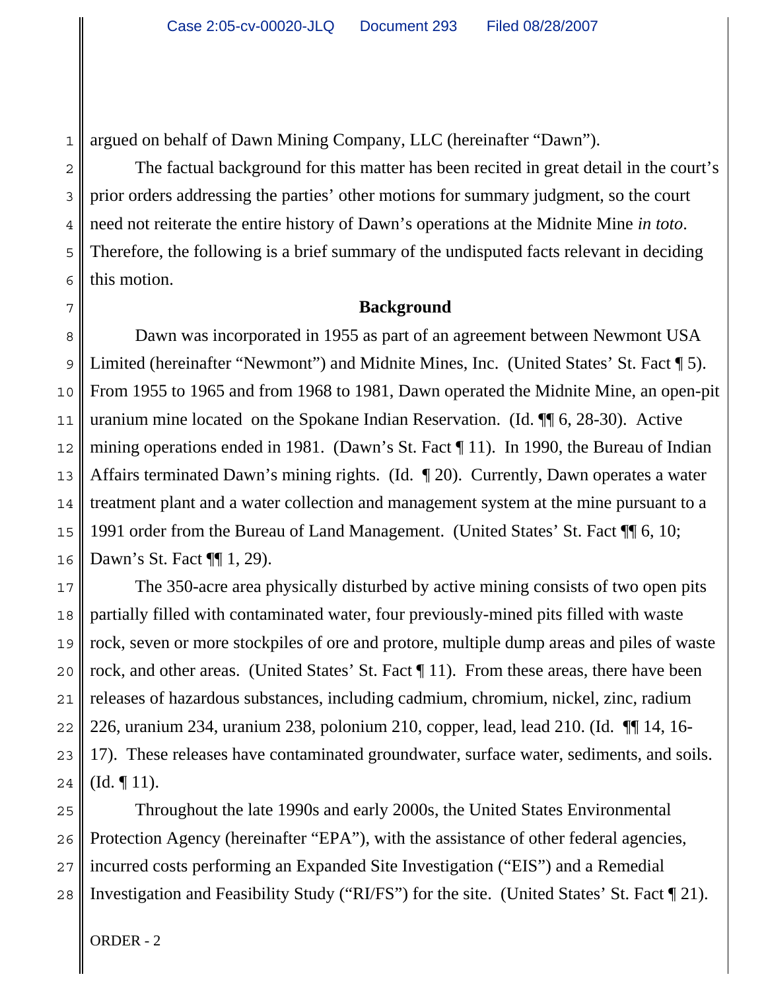1 argued on behalf of Dawn Mining Company, LLC (hereinafter "Dawn").

The factual background for this matter has been recited in great detail in the court's prior orders addressing the parties' other motions for summary judgment, so the court need not reiterate the entire history of Dawn's operations at the Midnite Mine *in toto*. Therefore, the following is a brief summary of the undisputed facts relevant in deciding this motion.

# **Background**

Dawn was incorporated in 1955 as part of an agreement between Newmont USA Limited (hereinafter "Newmont") and Midnite Mines, Inc. (United States' St. Fact [5). From 1955 to 1965 and from 1968 to 1981, Dawn operated the Midnite Mine, an open-pit uranium mine located on the Spokane Indian Reservation. (Id. ¶¶ 6, 28-30). Active mining operations ended in 1981. (Dawn's St. Fact ¶ 11). In 1990, the Bureau of Indian Affairs terminated Dawn's mining rights. (Id. ¶ 20). Currently, Dawn operates a water treatment plant and a water collection and management system at the mine pursuant to a 1991 order from the Bureau of Land Management. (United States' St. Fact ¶¶ 6, 10; Dawn's St. Fact ¶[ 1, 29).

The 350-acre area physically disturbed by active mining consists of two open pits partially filled with contaminated water, four previously-mined pits filled with waste rock, seven or more stockpiles of ore and protore, multiple dump areas and piles of waste rock, and other areas. (United States' St. Fact ¶ 11). From these areas, there have been releases of hazardous substances, including cadmium, chromium, nickel, zinc, radium 226, uranium 234, uranium 238, polonium 210, copper, lead, lead 210. (Id. ¶¶ 14, 16- 17). These releases have contaminated groundwater, surface water, sediments, and soils.  $(Id. \P 11).$ 

Throughout the late 1990s and early 2000s, the United States Environmental Protection Agency (hereinafter "EPA"), with the assistance of other federal agencies, incurred costs performing an Expanded Site Investigation ("EIS") and a Remedial Investigation and Feasibility Study ("RI/FS") for the site. (United States' St. Fact ¶ 21).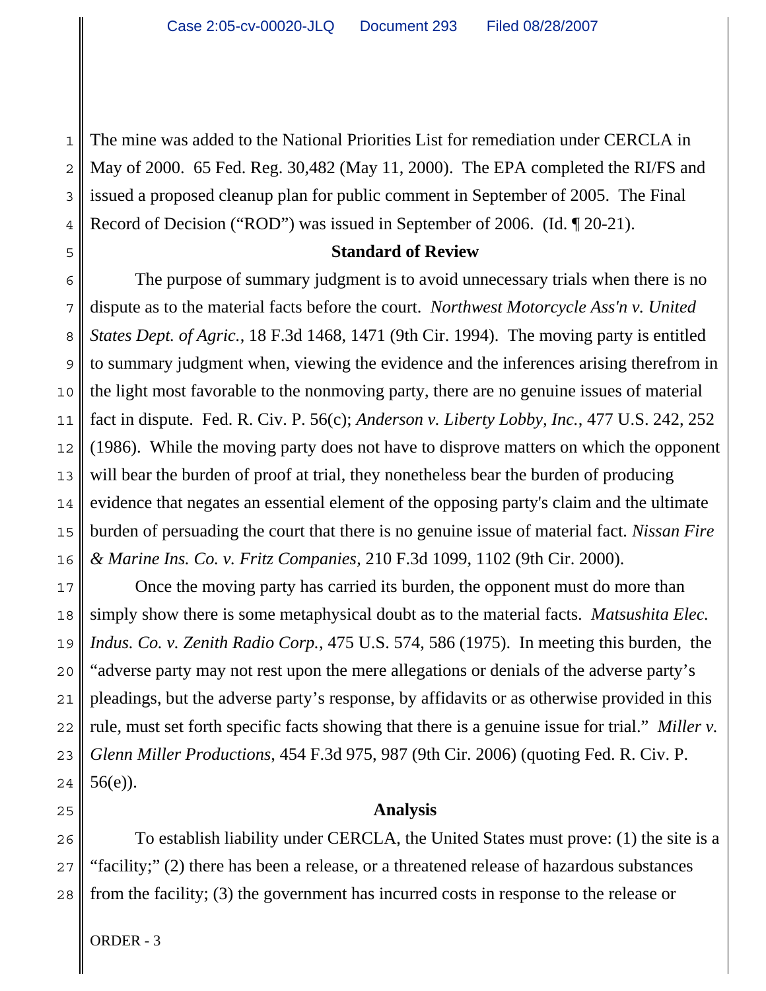1 2 The mine was added to the National Priorities List for remediation under CERCLA in May of 2000. 65 Fed. Reg. 30,482 (May 11, 2000). The EPA completed the RI/FS and issued a proposed cleanup plan for public comment in September of 2005. The Final Record of Decision ("ROD") was issued in September of 2006. (Id. ¶ 20-21).

### **Standard of Review**

The purpose of summary judgment is to avoid unnecessary trials when there is no dispute as to the material facts before the court. *Northwest Motorcycle Ass'n v. United States Dept. of Agric.*, 18 F.3d 1468, 1471 (9th Cir. 1994). The moving party is entitled to summary judgment when, viewing the evidence and the inferences arising therefrom in the light most favorable to the nonmoving party, there are no genuine issues of material fact in dispute. Fed. R. Civ. P. 56(c); *Anderson v. Liberty Lobby, Inc.*, 477 U.S. 242, 252 (1986). While the moving party does not have to disprove matters on which the opponent will bear the burden of proof at trial, they nonetheless bear the burden of producing evidence that negates an essential element of the opposing party's claim and the ultimate burden of persuading the court that there is no genuine issue of material fact. *Nissan Fire & Marine Ins. Co. v. Fritz Companies*, 210 F.3d 1099, 1102 (9th Cir. 2000).

Once the moving party has carried its burden, the opponent must do more than simply show there is some metaphysical doubt as to the material facts. *Matsushita Elec. Indus. Co. v. Zenith Radio Corp.*, 475 U.S. 574, 586 (1975). In meeting this burden, the "adverse party may not rest upon the mere allegations or denials of the adverse party's pleadings, but the adverse party's response, by affidavits or as otherwise provided in this rule, must set forth specific facts showing that there is a genuine issue for trial." *Miller v. Glenn Miller Productions*, 454 F.3d 975, 987 (9th Cir. 2006) (quoting Fed. R. Civ. P. 56(e)).

### **Analysis**

To establish liability under CERCLA, the United States must prove: (1) the site is a "facility;" (2) there has been a release, or a threatened release of hazardous substances from the facility; (3) the government has incurred costs in response to the release or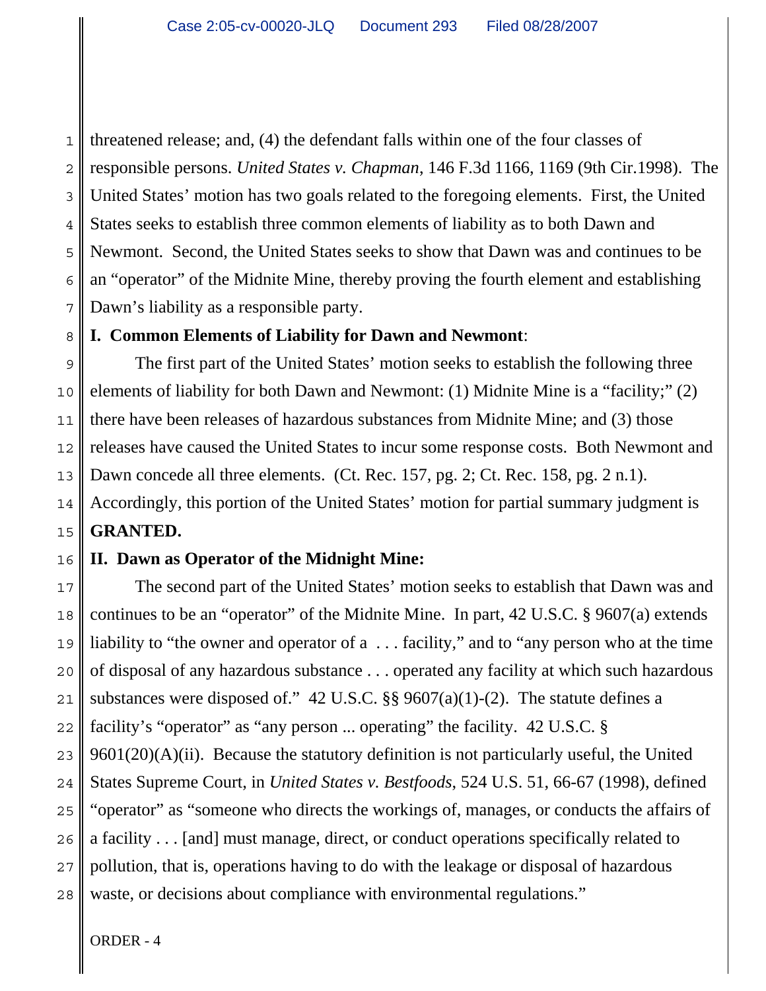1 2 3 4 5 6 7 threatened release; and, (4) the defendant falls within one of the four classes of responsible persons. *United States v. Chapman*, 146 F.3d 1166, 1169 (9th Cir.1998). The United States' motion has two goals related to the foregoing elements. First, the United States seeks to establish three common elements of liability as to both Dawn and Newmont. Second, the United States seeks to show that Dawn was and continues to be an "operator" of the Midnite Mine, thereby proving the fourth element and establishing Dawn's liability as a responsible party.

# **I. Common Elements of Liability for Dawn and Newmont**:

9 10 11 12 13 14 15 The first part of the United States' motion seeks to establish the following three elements of liability for both Dawn and Newmont: (1) Midnite Mine is a "facility;" (2) there have been releases of hazardous substances from Midnite Mine; and (3) those releases have caused the United States to incur some response costs. Both Newmont and Dawn concede all three elements. (Ct. Rec. 157, pg. 2; Ct. Rec. 158, pg. 2 n.1). Accordingly, this portion of the United States' motion for partial summary judgment is **GRANTED.**

### 16 **II. Dawn as Operator of the Midnight Mine:**

17 18 19 20 21 22 23 24 25 26 27 28 The second part of the United States' motion seeks to establish that Dawn was and continues to be an "operator" of the Midnite Mine. In part, 42 U.S.C. § 9607(a) extends liability to "the owner and operator of a ... facility," and to "any person who at the time of disposal of any hazardous substance . . . operated any facility at which such hazardous substances were disposed of." 42 U.S.C. §§ 9607(a)(1)-(2). The statute defines a facility's "operator" as "any person ... operating" the facility. 42 U.S.C. §  $9601(20)(A)(ii)$ . Because the statutory definition is not particularly useful, the United States Supreme Court, in *United States v. Bestfoods*, 524 U.S. 51, 66-67 (1998), defined "operator" as "someone who directs the workings of, manages, or conducts the affairs of a facility . . . [and] must manage, direct, or conduct operations specifically related to pollution, that is, operations having to do with the leakage or disposal of hazardous waste, or decisions about compliance with environmental regulations."

ORDER - 4

8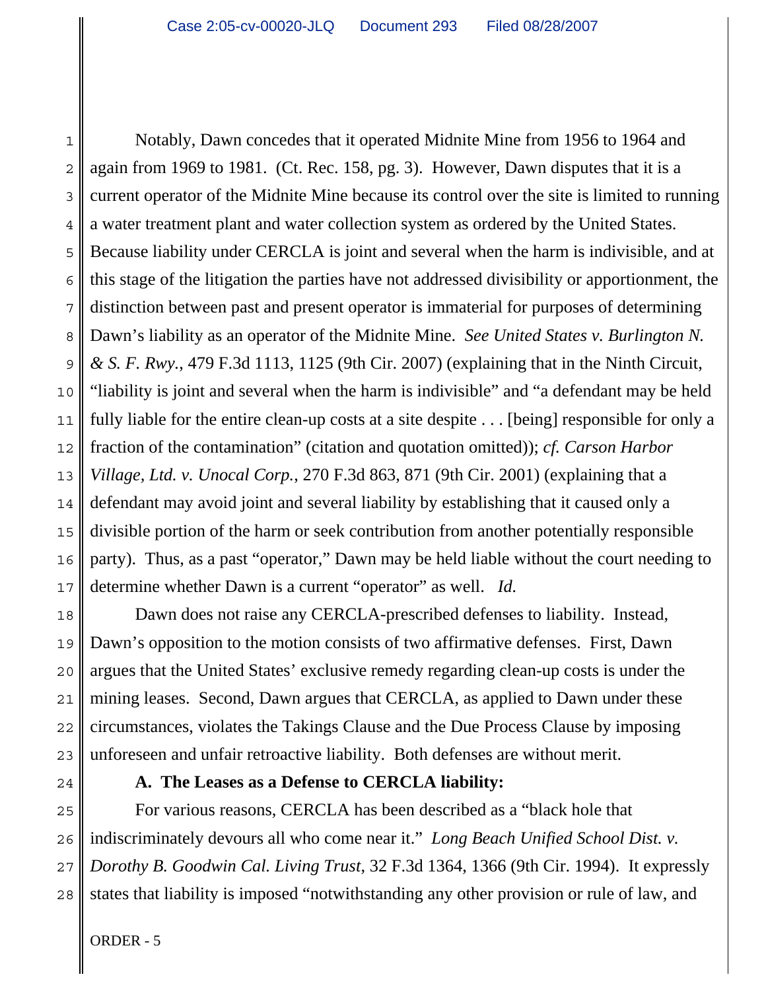1 2 3 4 Notably, Dawn concedes that it operated Midnite Mine from 1956 to 1964 and again from 1969 to 1981. (Ct. Rec. 158, pg. 3). However, Dawn disputes that it is a current operator of the Midnite Mine because its control over the site is limited to running a water treatment plant and water collection system as ordered by the United States. Because liability under CERCLA is joint and several when the harm is indivisible, and at this stage of the litigation the parties have not addressed divisibility or apportionment, the distinction between past and present operator is immaterial for purposes of determining Dawn's liability as an operator of the Midnite Mine. *See United States v. Burlington N. & S. F. Rwy.*, 479 F.3d 1113, 1125 (9th Cir. 2007) (explaining that in the Ninth Circuit, "liability is joint and several when the harm is indivisible" and "a defendant may be held fully liable for the entire clean-up costs at a site despite . . . [being] responsible for only a fraction of the contamination" (citation and quotation omitted)); *cf. Carson Harbor Village, Ltd. v. Unocal Corp.*, 270 F.3d 863, 871 (9th Cir. 2001) (explaining that a defendant may avoid joint and several liability by establishing that it caused only a divisible portion of the harm or seek contribution from another potentially responsible party). Thus, as a past "operator," Dawn may be held liable without the court needing to determine whether Dawn is a current "operator" as well. *Id.*

Dawn does not raise any CERCLA-prescribed defenses to liability. Instead, Dawn's opposition to the motion consists of two affirmative defenses. First, Dawn argues that the United States' exclusive remedy regarding clean-up costs is under the mining leases. Second, Dawn argues that CERCLA, as applied to Dawn under these circumstances, violates the Takings Clause and the Due Process Clause by imposing unforeseen and unfair retroactive liability. Both defenses are without merit.

### **A. The Leases as a Defense to CERCLA liability:**

For various reasons, CERCLA has been described as a "black hole that indiscriminately devours all who come near it." *Long Beach Unified School Dist. v. Dorothy B. Goodwin Cal. Living Trust*, 32 F.3d 1364, 1366 (9th Cir. 1994). It expressly states that liability is imposed "notwithstanding any other provision or rule of law, and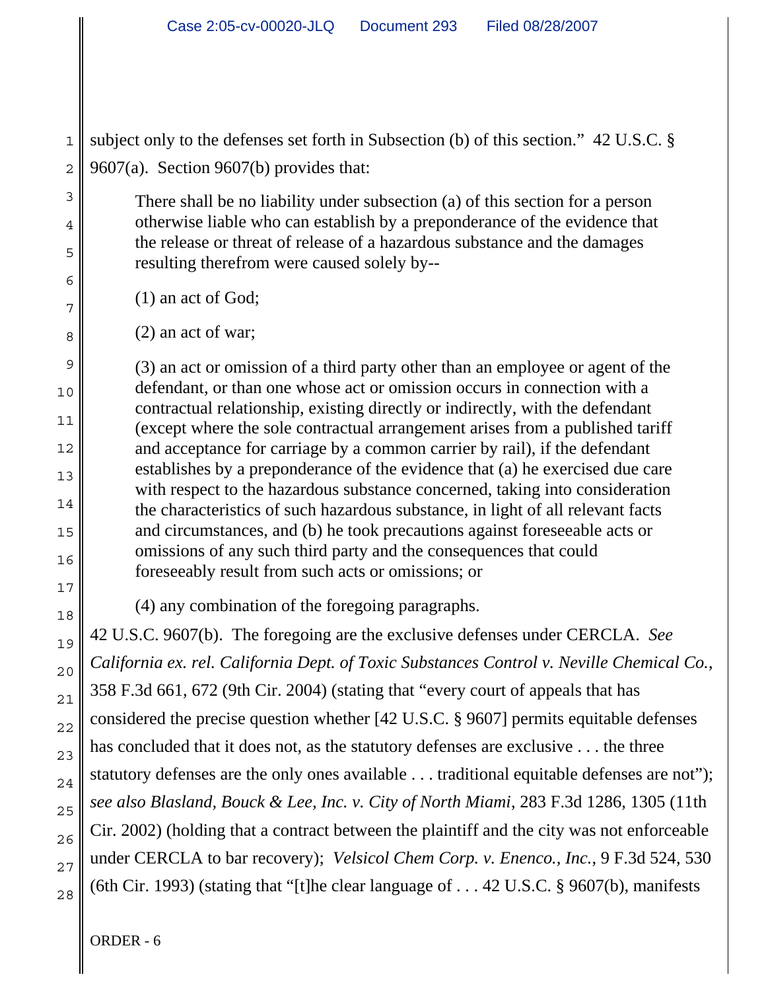subject only to the defenses set forth in Subsection (b) of this section." 42 U.S.C. § 9607(a). Section 9607(b) provides that:

There shall be no liability under subsection (a) of this section for a person otherwise liable who can establish by a preponderance of the evidence that the release or threat of release of a hazardous substance and the damages resulting therefrom were caused solely by--

(1) an act of God;

(2) an act of war;

(3) an act or omission of a third party other than an employee or agent of the defendant, or than one whose act or omission occurs in connection with a contractual relationship, existing directly or indirectly, with the defendant (except where the sole contractual arrangement arises from a published tariff and acceptance for carriage by a common carrier by rail), if the defendant establishes by a preponderance of the evidence that (a) he exercised due care with respect to the hazardous substance concerned, taking into consideration the characteristics of such hazardous substance, in light of all relevant facts and circumstances, and (b) he took precautions against foreseeable acts or omissions of any such third party and the consequences that could foreseeably result from such acts or omissions; or

(4) any combination of the foregoing paragraphs.

42 U.S.C. 9607(b). The foregoing are the exclusive defenses under CERCLA. *See California ex. rel. California Dept. of Toxic Substances Control v. Neville Chemical Co.*, 358 F.3d 661, 672 (9th Cir. 2004) (stating that "every court of appeals that has considered the precise question whether [42 U.S.C. § 9607] permits equitable defenses has concluded that it does not, as the statutory defenses are exclusive . . . the three statutory defenses are the only ones available . . . traditional equitable defenses are not"); *see also Blasland, Bouck & Lee, Inc. v. City of North Miami*, 283 F.3d 1286, 1305 (11th Cir. 2002) (holding that a contract between the plaintiff and the city was not enforceable under CERCLA to bar recovery); *Velsicol Chem Corp. v. Enenco., Inc.*, 9 F.3d 524, 530 (6th Cir. 1993) (stating that "[t]he clear language of . . . 42 U.S.C. § 9607(b), manifests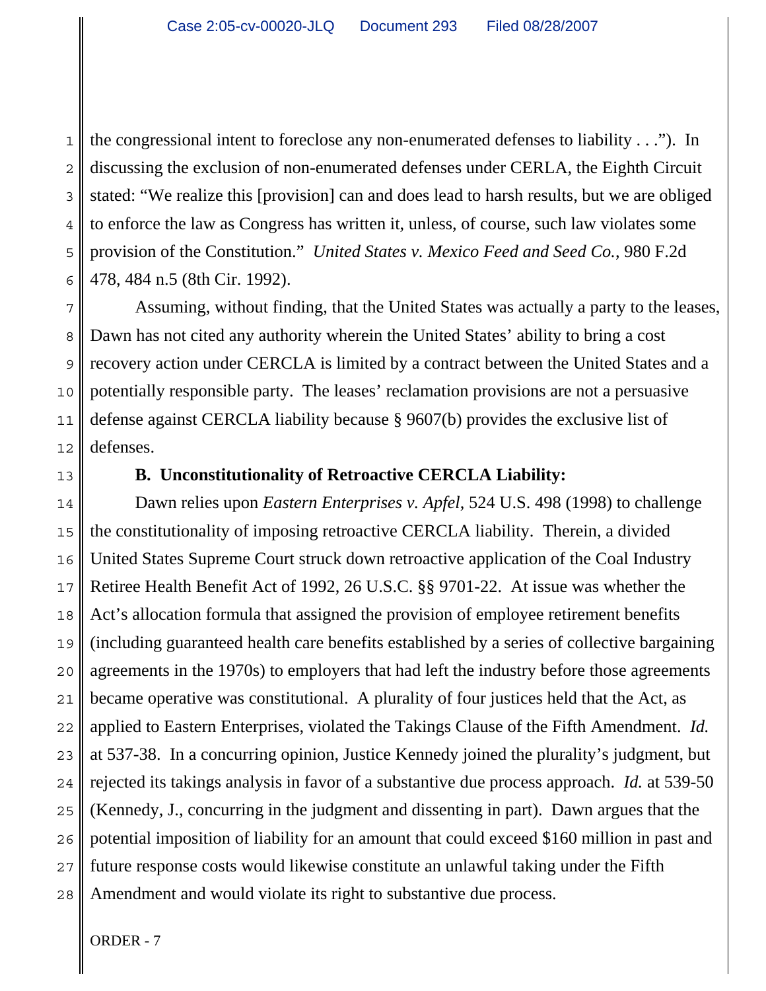1 2 3 4 5 6 the congressional intent to foreclose any non-enumerated defenses to liability . . ."). In discussing the exclusion of non-enumerated defenses under CERLA, the Eighth Circuit stated: "We realize this [provision] can and does lead to harsh results, but we are obliged to enforce the law as Congress has written it, unless, of course, such law violates some provision of the Constitution." *United States v. Mexico Feed and Seed Co.*, 980 F.2d 478, 484 n.5 (8th Cir. 1992).

7 8 9 10 11 12 Assuming, without finding, that the United States was actually a party to the leases, Dawn has not cited any authority wherein the United States' ability to bring a cost recovery action under CERCLA is limited by a contract between the United States and a potentially responsible party. The leases' reclamation provisions are not a persuasive defense against CERCLA liability because § 9607(b) provides the exclusive list of defenses.

13

# **B. Unconstitutionality of Retroactive CERCLA Liability:**

14 15 16 17 18 19 20 21 22 23 24 25 26 27 28 Dawn relies upon *Eastern Enterprises v. Apfel*, 524 U.S. 498 (1998) to challenge the constitutionality of imposing retroactive CERCLA liability. Therein, a divided United States Supreme Court struck down retroactive application of the Coal Industry Retiree Health Benefit Act of 1992, 26 U.S.C. §§ 9701-22. At issue was whether the Act's allocation formula that assigned the provision of employee retirement benefits (including guaranteed health care benefits established by a series of collective bargaining agreements in the 1970s) to employers that had left the industry before those agreements became operative was constitutional. A plurality of four justices held that the Act, as applied to Eastern Enterprises, violated the Takings Clause of the Fifth Amendment. *Id.* at 537-38. In a concurring opinion, Justice Kennedy joined the plurality's judgment, but rejected its takings analysis in favor of a substantive due process approach. *Id.* at 539-50 (Kennedy, J., concurring in the judgment and dissenting in part). Dawn argues that the potential imposition of liability for an amount that could exceed \$160 million in past and future response costs would likewise constitute an unlawful taking under the Fifth Amendment and would violate its right to substantive due process.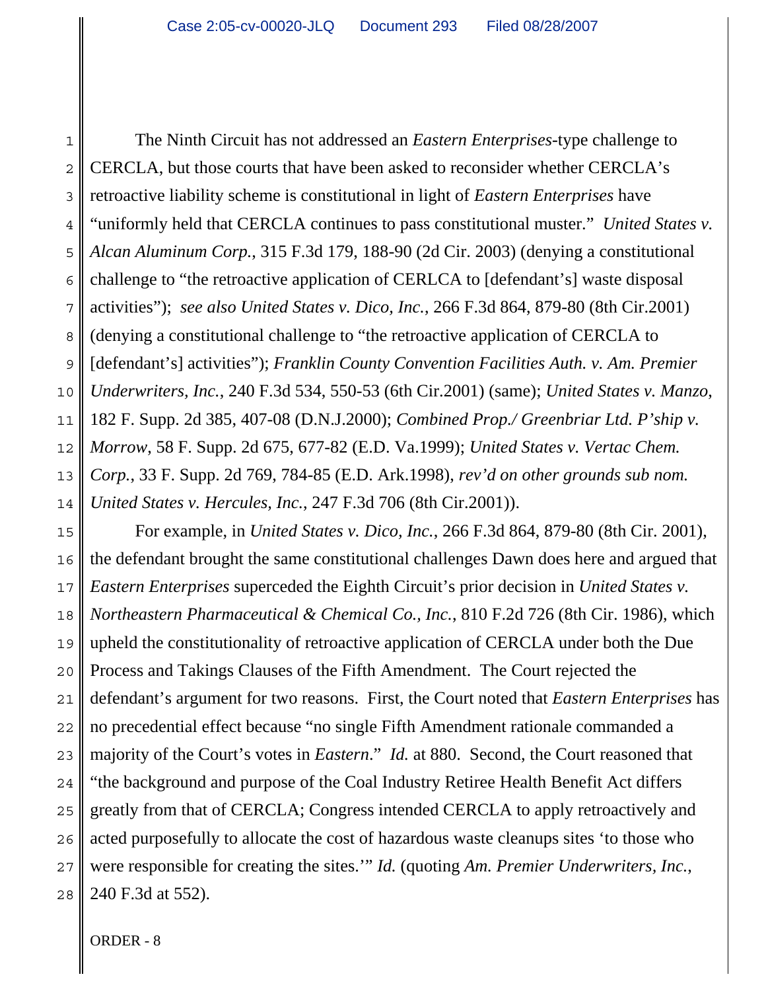1 2 3 4 5 6 7 8 9 10 11 12 13 14 The Ninth Circuit has not addressed an *Eastern Enterprises*-type challenge to CERCLA, but those courts that have been asked to reconsider whether CERCLA's retroactive liability scheme is constitutional in light of *Eastern Enterprises* have "uniformly held that CERCLA continues to pass constitutional muster." *United States v. Alcan Aluminum Corp.*, 315 F.3d 179, 188-90 (2d Cir. 2003) (denying a constitutional challenge to "the retroactive application of CERLCA to [defendant's] waste disposal activities"); *see also United States v. Dico, Inc.*, 266 F.3d 864, 879-80 (8th Cir.2001) (denying a constitutional challenge to "the retroactive application of CERCLA to [defendant's] activities"); *Franklin County Convention Facilities Auth. v. Am. Premier Underwriters, Inc.*, 240 F.3d 534, 550-53 (6th Cir.2001) (same); *United States v. Manzo*, 182 F. Supp. 2d 385, 407-08 (D.N.J.2000); *Combined Prop./ Greenbriar Ltd. P'ship v. Morrow*, 58 F. Supp. 2d 675, 677-82 (E.D. Va.1999); *United States v. Vertac Chem. Corp.*, 33 F. Supp. 2d 769, 784-85 (E.D. Ark.1998), *rev'd on other grounds sub nom. United States v. Hercules, Inc.*, 247 F.3d 706 (8th Cir.2001)).

15 16 17 18 19 20 21 22 23 24 25 26 27 28 For example, in *United States v. Dico, Inc.*, 266 F.3d 864, 879-80 (8th Cir. 2001), the defendant brought the same constitutional challenges Dawn does here and argued that *Eastern Enterprises* superceded the Eighth Circuit's prior decision in *United States v. Northeastern Pharmaceutical & Chemical Co., Inc.*, 810 F.2d 726 (8th Cir. 1986), which upheld the constitutionality of retroactive application of CERCLA under both the Due Process and Takings Clauses of the Fifth Amendment. The Court rejected the defendant's argument for two reasons. First, the Court noted that *Eastern Enterprises* has no precedential effect because "no single Fifth Amendment rationale commanded a majority of the Court's votes in *Eastern*." *Id.* at 880. Second, the Court reasoned that "the background and purpose of the Coal Industry Retiree Health Benefit Act differs greatly from that of CERCLA; Congress intended CERCLA to apply retroactively and acted purposefully to allocate the cost of hazardous waste cleanups sites 'to those who were responsible for creating the sites.'" *Id.* (quoting *Am. Premier Underwriters, Inc.*, 240 F.3d at 552).